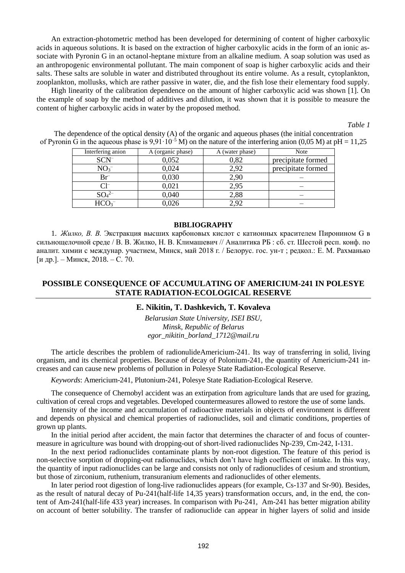An extraction-photometric method has been developed for determining of content of higher carboxylic acids in aqueous solutions. It is based on the extraction of higher carboxylic acids in the form of an ionic associate with Pyronin G in an octanol-heptane mixture from an alkaline medium. A soap solution was used as an anthropogenic environmental pollutant. The main component of soap is higher carboxylic acids and their salts. These salts are soluble in water and distributed throughout its entire volume. As a result, cytoplankton, zooplankton, mollusks, which are rather passive in water, die, and the fish lose their elementary food supply.

High linearity of the calibration dependence on the amount of higher carboxylic acid was shown [1]. On the example of soap by the method of additives and dilution, it was shown that it is possible to measure the content of higher carboxylic acids in water by the proposed method.

*Table 1*

| Interfering anion | A (organic phase) | A (water phase) | Note               |
|-------------------|-------------------|-----------------|--------------------|
| $SCN^-$           | 0,052             | 0,82            | precipitate formed |
| NO <sub>3</sub>   | 0,024             | 2,92            | precipitate formed |
| $Br^-$            | 0,030             | 2,90            |                    |
| C1-               | 0,021             | 2,95            |                    |
|                   | 0,040             | 2,88            |                    |
| HCO <sub>3</sub>  | 0,026             | 2.92            |                    |

The dependence of the optical density (A) of the organic and aqueous phases (the initial concentration of Pyronin G in the aqueous phase is  $9.91 \cdot 10^{-5}$  M) on the nature of the interfering anion (0,05 M) at pH = 11,25

#### **BIBLIOGRAPHY**

1. *Жилко, В. В.* Экстракция высших карбоновых кислот с катионных красителем Пиронином G в сильнощелочной среде / В. В. Жилко, Н. В. Климашевич // Аналитика РБ : сб. ст. Шестой респ. конф. по аналит. химии с междунар. участием, Минск, май 2018 г. / Белорус. гос. ун-т ; редкол.: Е. М. Рахманько [и др.]. – Минск, 2018. – С. 70.

# **POSSIBLE CONSEQUENCE OF ACCUMULATING OF AMERICIUM-241 IN POLESYE STATE RADIATION-ECOLOGICAL RESERVE**

### **E. Nikitin, T. Dashkevich, T. Kovaleva**

*Belarusian State University, ISEI BSU, Minsk, Republic of Belarus egor\_nikitin\_borland\_1712@mail.ru*

The article describes the problem of radionulideAmericium-241. Its way of transferring in solid, living organism, and its chemical properties. Because of decay of Polonium-241, the quantity of Americium-241 increases and can cause new problems of pollution in Polesye State Radiation-Ecological Reserve.

*Keywords*: Americium-241, Plutonium-241, Polesye State Radiation-Ecological Reserve.

The consequence of Chernobyl accident was an extirpation from agriculture lands that are used for grazing, cultivation of cereal crops and vegetables. Developed countermeasures allowed to restore the use of some lands.

Intensity of the income and accumulation of radioactive materials in objects of environment is different and depends on physical and chemical properties of radionuclides, soil and climatic conditions, properties of grown up plants.

In the initial period after accident, the main factor that determines the character of and focus of countermeasure in agriculture was bound with dropping-out of short-lived radionuclides Np-239, Cm-242, I-131.

In the next period radionuclides contaminate plants by non-root digestion. The feature of this period is non-selective sorption of dropping-out radionuclides, which don't have high coefficient of intake. In this way, the quantity of input radionuclides can be large and consists not only of radionuclides of cesium and strontium, but those of zirconium, ruthenium, transuranium elements and radionuclides of other elements.

In later period root digestion of long-live radionuclides appears (for example, Cs-137 and Sr-90). Besides, as the result of natural decay of Pu-241(half-life 14,35 years) transformation occurs, and, in the end, the content of Am-241(half-life 433 year) increases. In comparison with Pu-241, Am-241 has better migration ability on account of better solubility. The transfer of radionuclide can appear in higher layers of solid and inside